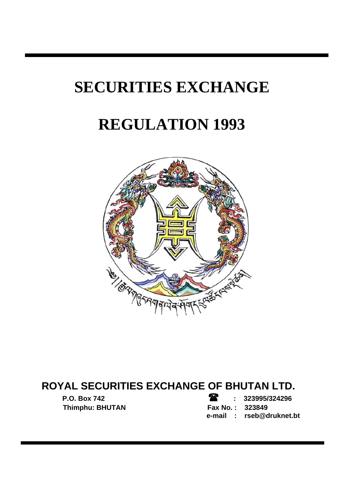# **SECURITIES EXCHANGE**

# **REGULATION 1993**



# **ROYAL SECURITIES EXCHANGE OF BHUTAN LTD.**

**P.O. Box 742 : 323995/324296 Thimphu: BHUTAN Fax No. : 323849 e-mail : rseb@druknet.bt**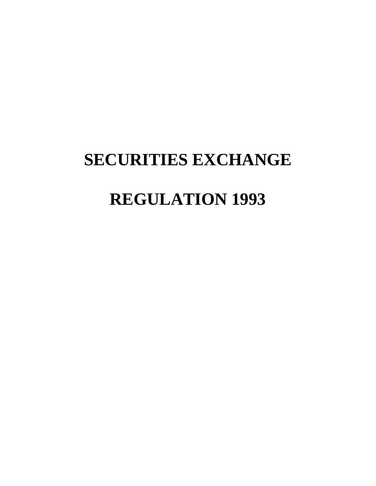# **SECURITIES EXCHANGE REGULATION 1993**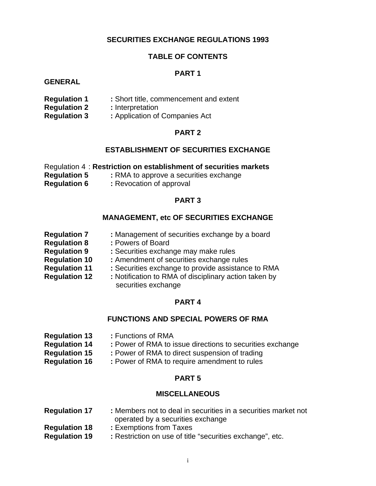#### **SECURITIES EXCHANGE REGULATIONS 1993**

#### **TABLE OF CONTENTS**

#### **PART 1**

#### **GENERAL**

- **Regulation 1 :** Short title, commencement and extent
- **Regulation 2 : Interpretation**
- **Regulation 3 : Application of Companies Act**

#### **PART 2**

#### **ESTABLISHMENT OF SECURITIES EXCHANGE**

|                     | Regulation 4: Restriction on establishment of securities markets |
|---------------------|------------------------------------------------------------------|
| <b>Regulation 5</b> | : RMA to approve a securities exchange                           |
| <b>Regulation 6</b> | : Revocation of approval                                         |

#### **PART 3**

#### **MANAGEMENT, etc OF SECURITIES EXCHANGE**

**Regulation 7 : Management of securities exchange by a board Regulation 8 : Powers of Board Regulation 9 : Securities exchange may make rules Regulation 10 :** Amendment of securities exchange rules **Regulation 11** : Securities exchange to provide assistance to RMA **Regulation 12** : Notification to RMA of disciplinary action taken by securities exchange

#### **PART 4**

#### **FUNCTIONS AND SPECIAL POWERS OF RMA**

- **Regulation 13 :** Functions of RMA **Regulation 14** : Power of RMA to issue directions to securities exchange **Regulation 15** : Power of RMA to direct suspension of trading
- **Regulation 16** : Power of RMA to require amendment to rules

#### **PART 5**

#### **MISCELLANEOUS**

#### **Regulation 17** : Members not to deal in securities in a securities market not operated by a securities exchange

- **Regulation 18 :** Exemptions from Taxes
- **Regulation 19 : Restriction on use of title "securities exchange", etc.**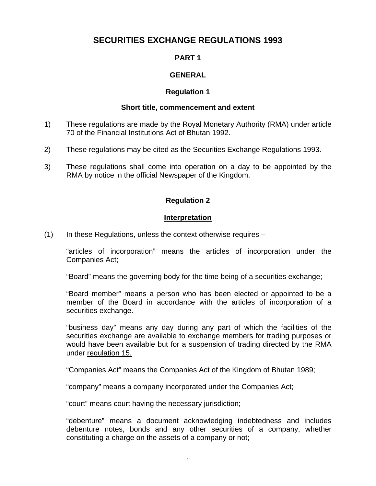# **SECURITIES EXCHANGE REGULATIONS 1993**

#### **PART 1**

#### **GENERAL**

#### **Regulation 1**

#### **Short title, commencement and extent**

- 1) These regulations are made by the Royal Monetary Authority (RMA) under article 70 of the Financial Institutions Act of Bhutan 1992.
- 2) These regulations may be cited as the Securities Exchange Regulations 1993.
- 3) These regulations shall come into operation on a day to be appointed by the RMA by notice in the official Newspaper of the Kingdom.

#### **Regulation 2**

#### **Interpretation**

 $(1)$  In these Regulations, unless the context otherwise requires –

"articles of incorporation" means the articles of incorporation under the Companies Act;

"Board" means the governing body for the time being of a securities exchange;

"Board member" means a person who has been elected or appointed to be a member of the Board in accordance with the articles of incorporation of a securities exchange.

"business day" means any day during any part of which the facilities of the securities exchange are available to exchange members for trading purposes or would have been available but for a suspension of trading directed by the RMA under regulation 15,

"Companies Act" means the Companies Act of the Kingdom of Bhutan 1989;

"company" means a company incorporated under the Companies Act;

"court" means court having the necessary jurisdiction;

"debenture" means a document acknowledging indebtedness and includes debenture notes, bonds and any other securities of a company, whether constituting a charge on the assets of a company or not;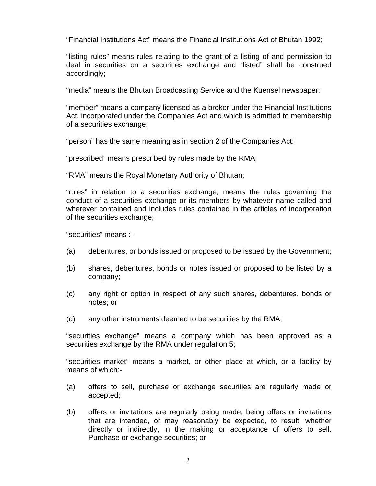"Financial Institutions Act" means the Financial Institutions Act of Bhutan 1992;

"listing rules" means rules relating to the grant of a listing of and permission to deal in securities on a securities exchange and "listed" shall be construed accordingly;

"media" means the Bhutan Broadcasting Service and the Kuensel newspaper:

"member" means a company licensed as a broker under the Financial Institutions Act, incorporated under the Companies Act and which is admitted to membership of a securities exchange;

"person" has the same meaning as in section 2 of the Companies Act:

"prescribed" means prescribed by rules made by the RMA;

"RMA" means the Royal Monetary Authority of Bhutan;

"rules" in relation to a securities exchange, means the rules governing the conduct of a securities exchange or its members by whatever name called and wherever contained and includes rules contained in the articles of incorporation of the securities exchange;

"securities" means :-

- (a) debentures, or bonds issued or proposed to be issued by the Government;
- (b) shares, debentures, bonds or notes issued or proposed to be listed by a company;
- (c) any right or option in respect of any such shares, debentures, bonds or notes; or
- (d) any other instruments deemed to be securities by the RMA;

"securities exchange" means a company which has been approved as a securities exchange by the RMA under regulation 5;

"securities market" means a market, or other place at which, or a facility by means of which:-

- (a) offers to sell, purchase or exchange securities are regularly made or accepted;
- (b) offers or invitations are regularly being made, being offers or invitations that are intended, or may reasonably be expected, to result, whether directly or indirectly, in the making or acceptance of offers to sell. Purchase or exchange securities; or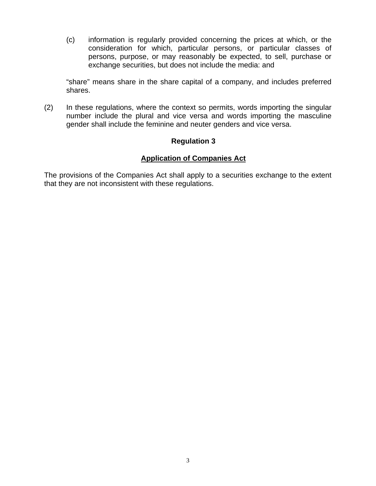(c) information is regularly provided concerning the prices at which, or the consideration for which, particular persons, or particular classes of persons, purpose, or may reasonably be expected, to sell, purchase or exchange securities, but does not include the media: and

"share" means share in the share capital of a company, and includes preferred shares.

(2) In these regulations, where the context so permits, words importing the singular number include the plural and vice versa and words importing the masculine gender shall include the feminine and neuter genders and vice versa.

#### **Regulation 3**

#### **Application of Companies Act**

The provisions of the Companies Act shall apply to a securities exchange to the extent that they are not inconsistent with these regulations.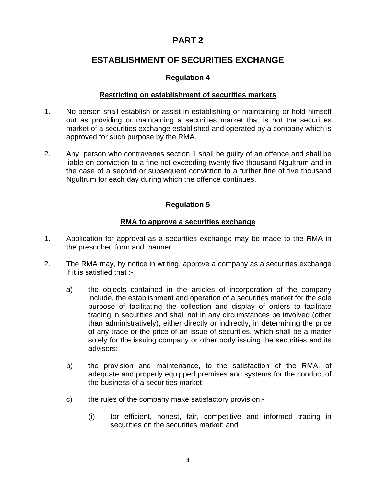# **ESTABLISHMENT OF SECURITIES EXCHANGE**

#### **Regulation 4**

#### **Restricting on establishment of securities markets**

- 1. No person shall establish or assist in establishing or maintaining or hold himself out as providing or maintaining a securities market that is not the securities market of a securities exchange established and operated by a company which is approved for such purpose by the RMA.
- 2. Any person who contravenes section 1 shall be guilty of an offence and shall be liable on conviction to a fine not exceeding twenty five thousand Ngultrum and in the case of a second or subsequent conviction to a further fine of five thousand Ngultrum for each day during which the offence continues.

#### **Regulation 5**

#### **RMA to approve a securities exchange**

- 1. Application for approval as a securities exchange may be made to the RMA in the prescribed form and manner.
- 2. The RMA may, by notice in writing, approve a company as a securities exchange if it is satisfied that :
	- a) the objects contained in the articles of incorporation of the company include, the establishment and operation of a securities market for the sole purpose of facilitating the collection and display of orders to facilitate trading in securities and shall not in any circumstances be involved (other than administratively), either directly or indirectly, in determining the price of any trade or the price of an issue of securities, which shall be a matter solely for the issuing company or other body issuing the securities and its advisors;
	- b) the provision and maintenance, to the satisfaction of the RMA, of adequate and properly equipped premises and systems for the conduct of the business of a securities market;
	- c) the rules of the company make satisfactory provision:-
		- (i) for efficient, honest, fair, competitive and informed trading in securities on the securities market; and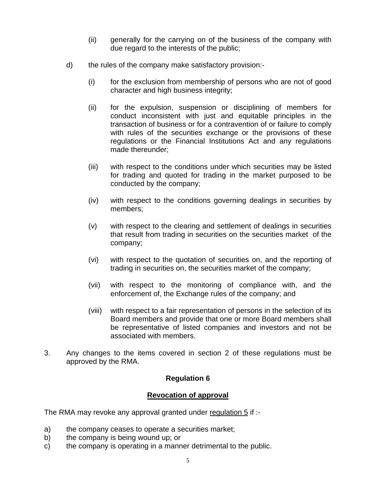- (ii) generally for the carrying on of the business of the company with due regard to the interests of the public;
- d) the rules of the company make satisfactory provision:-
	- (i) for the exclusion from membership of persons who are not of good character and high business integrity;
	- (ii) for the expulsion, suspension or disciplining of members for conduct inconsistent with just and equitable principles in the transaction of business or for a contravention of or failure to comply with rules of the securities exchange or the provisions of these regulations or the Financial Institutions Act and any regulations made thereunder;
	- (iii) with respect to the conditions under which securities may be listed for trading and quoted for trading in the market purposed to be conducted by the company;
	- (iv) with respect to the conditions governing dealings in securities by members;
	- (v) with respect to the clearing and settlement of dealings in securities that result from trading in securities on the securities market of the company;
	- (vi) with respect to the quotation of securities on, and the reporting of trading in securities on, the securities market of the company;
	- (vii) with respect to the monitoring of compliance with, and the enforcement of, the Exchange rules of the company; and
	- (viii) with respect to a fair representation of persons in the selection of its Board members and provide that one or more Board members shall be representative of listed companies and investors and not be associated with members.
- 3. Any changes to the items covered in section 2 of these regulations must be approved by the RMA.

#### **Revocation of approval**

The RMA may revoke any approval granted under regulation 5 if :-

- a) the company ceases to operate a securities market;
- b) the company is being wound up; or
- c) the company is operating in a manner detrimental to the public.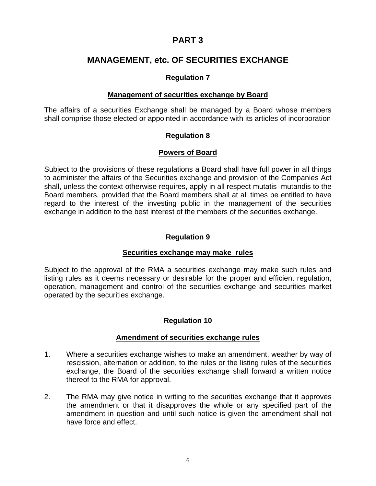## **MANAGEMENT, etc. OF SECURITIES EXCHANGE**

#### **Regulation 7**

#### **Management of securities exchange by Board**

The affairs of a securities Exchange shall be managed by a Board whose members shall comprise those elected or appointed in accordance with its articles of incorporation

#### **Regulation 8**

#### **Powers of Board**

Subject to the provisions of these regulations a Board shall have full power in all things to administer the affairs of the Securities exchange and provision of the Companies Act shall, unless the context otherwise requires, apply in all respect mutatis mutandis to the Board members, provided that the Board members shall at all times be entitled to have regard to the interest of the investing public in the management of the securities exchange in addition to the best interest of the members of the securities exchange.

#### **Regulation 9**

#### **Securities exchange may make rules**

Subject to the approval of the RMA a securities exchange may make such rules and listing rules as it deems necessary or desirable for the proper and efficient regulation, operation, management and control of the securities exchange and securities market operated by the securities exchange.

#### **Regulation 10**

#### **Amendment of securities exchange rules**

- 1. Where a securities exchange wishes to make an amendment, weather by way of rescission, alternation or addition, to the rules or the listing rules of the securities exchange, the Board of the securities exchange shall forward a written notice thereof to the RMA for approval.
- 2. The RMA may give notice in writing to the securities exchange that it approves the amendment or that it disapproves the whole or any specified part of the amendment in question and until such notice is given the amendment shall not have force and effect.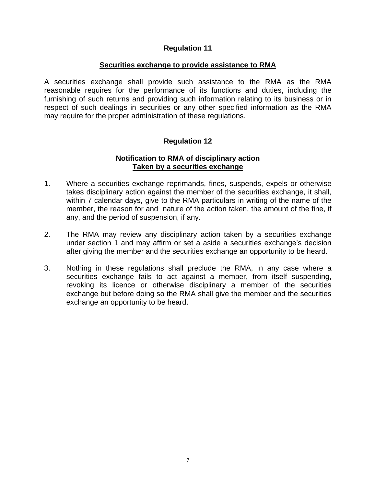#### **Securities exchange to provide assistance to RMA**

A securities exchange shall provide such assistance to the RMA as the RMA reasonable requires for the performance of its functions and duties, including the furnishing of such returns and providing such information relating to its business or in respect of such dealings in securities or any other specified information as the RMA may require for the proper administration of these regulations.

#### **Regulation 12**

#### **Notification to RMA of disciplinary action Taken by a securities exchange**

- 1. Where a securities exchange reprimands, fines, suspends, expels or otherwise takes disciplinary action against the member of the securities exchange, it shall, within 7 calendar days, give to the RMA particulars in writing of the name of the member, the reason for and nature of the action taken, the amount of the fine, if any, and the period of suspension, if any.
- 2. The RMA may review any disciplinary action taken by a securities exchange under section 1 and may affirm or set a aside a securities exchange's decision after giving the member and the securities exchange an opportunity to be heard.
- 3. Nothing in these regulations shall preclude the RMA, in any case where a securities exchange fails to act against a member, from itself suspending, revoking its licence or otherwise disciplinary a member of the securities exchange but before doing so the RMA shall give the member and the securities exchange an opportunity to be heard.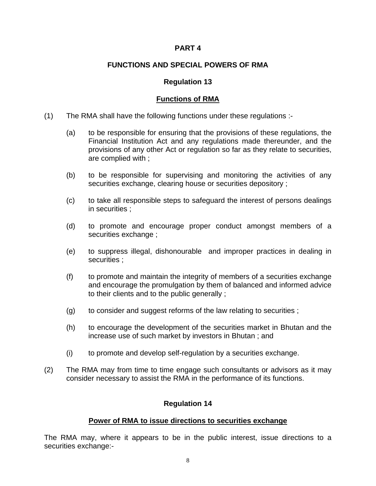#### **FUNCTIONS AND SPECIAL POWERS OF RMA**

#### **Regulation 13**

#### **Functions of RMA**

- (1) The RMA shall have the following functions under these regulations :-
	- (a) to be responsible for ensuring that the provisions of these regulations, the Financial Institution Act and any regulations made thereunder, and the provisions of any other Act or regulation so far as they relate to securities, are complied with ;
	- (b) to be responsible for supervising and monitoring the activities of any securities exchange, clearing house or securities depository ;
	- (c) to take all responsible steps to safeguard the interest of persons dealings in securities ;
	- (d) to promote and encourage proper conduct amongst members of a securities exchange ;
	- (e) to suppress illegal, dishonourable and improper practices in dealing in securities ;
	- (f) to promote and maintain the integrity of members of a securities exchange and encourage the promulgation by them of balanced and informed advice to their clients and to the public generally ;
	- (g) to consider and suggest reforms of the law relating to securities ;
	- (h) to encourage the development of the securities market in Bhutan and the increase use of such market by investors in Bhutan ; and
	- (i) to promote and develop self-regulation by a securities exchange.
- (2) The RMA may from time to time engage such consultants or advisors as it may consider necessary to assist the RMA in the performance of its functions.

#### **Regulation 14**

#### **Power of RMA to issue directions to securities exchange**

The RMA may, where it appears to be in the public interest, issue directions to a securities exchange:-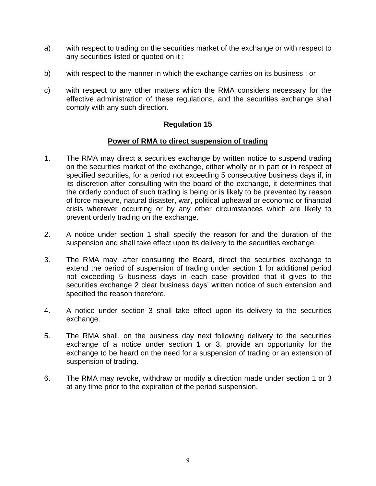- a) with respect to trading on the securities market of the exchange or with respect to any securities listed or quoted on it ;
- b) with respect to the manner in which the exchange carries on its business ; or
- c) with respect to any other matters which the RMA considers necessary for the effective administration of these regulations, and the securities exchange shall comply with any such direction.

#### **Power of RMA to direct suspension of trading**

- 1. The RMA may direct a securities exchange by written notice to suspend trading on the securities market of the exchange, either wholly or in part or in respect of specified securities, for a period not exceeding 5 consecutive business days if, in its discretion after consulting with the board of the exchange, it determines that the orderly conduct of such trading is being or is likely to be prevented by reason of force majeure, natural disaster, war, political upheaval or economic or financial crisis wherever occurring or by any other circumstances which are likely to prevent orderly trading on the exchange.
- 2. A notice under section 1 shall specify the reason for and the duration of the suspension and shall take effect upon its delivery to the securities exchange.
- 3. The RMA may, after consulting the Board, direct the securities exchange to extend the period of suspension of trading under section 1 for additional period not exceeding 5 business days in each case provided that it gives to the securities exchange 2 clear business days' written notice of such extension and specified the reason therefore.
- 4. A notice under section 3 shall take effect upon its delivery to the securities exchange.
- 5. The RMA shall, on the business day next following delivery to the securities exchange of a notice under section 1 or 3, provide an opportunity for the exchange to be heard on the need for a suspension of trading or an extension of suspension of trading.
- 6. The RMA may revoke, withdraw or modify a direction made under section 1 or 3 at any time prior to the expiration of the period suspension.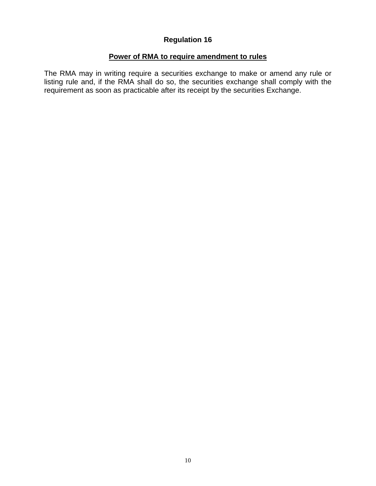#### **Power of RMA to require amendment to rules**

The RMA may in writing require a securities exchange to make or amend any rule or listing rule and, if the RMA shall do so, the securities exchange shall comply with the requirement as soon as practicable after its receipt by the securities Exchange.